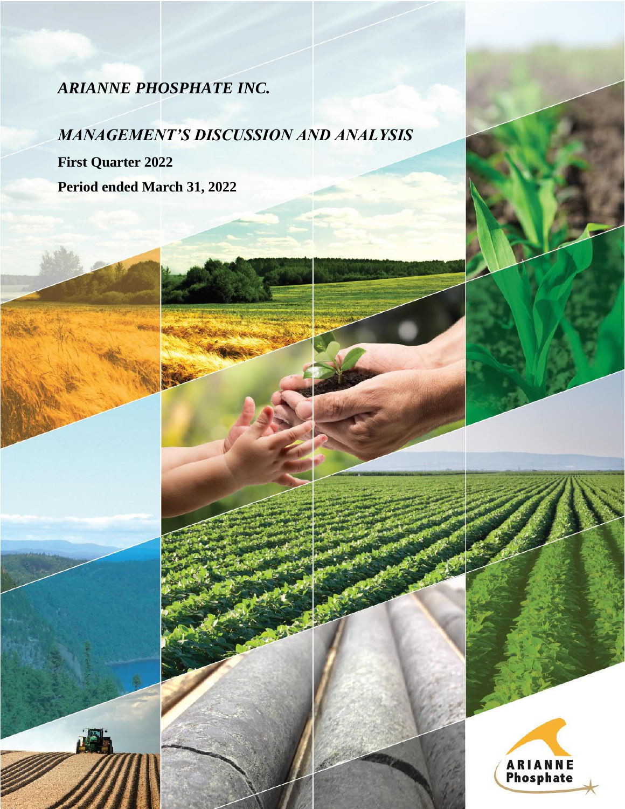# *ARIANNE PHOSPHATE INC.*

# *MANAGEMENT'S DISCUSSION AND ANALYSIS*

MANAGEMENT'S DISCUSSION AND ANALYSIS – THREE-MONTH PERIOD ENDED MARCH 31, 2022

**First Quarter 2022 Period ended March 31, 2022**



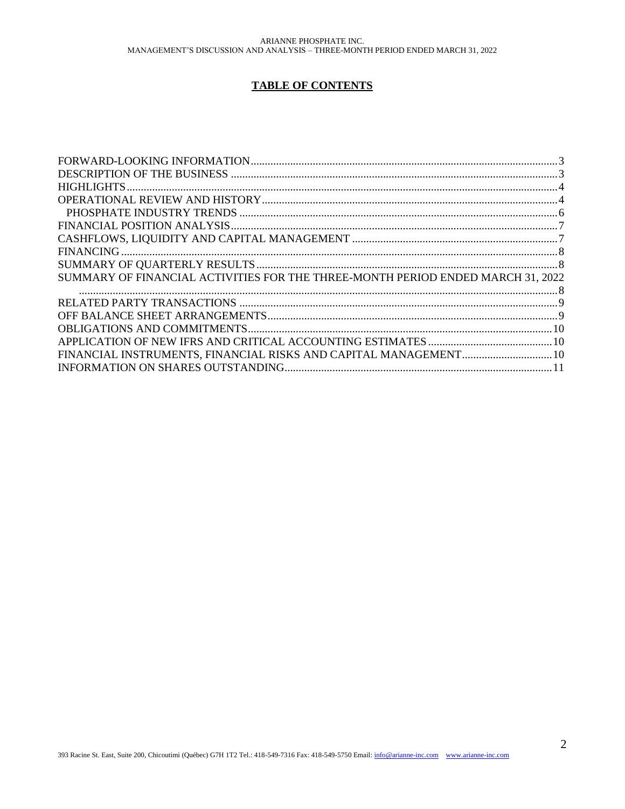## **TABLE OF CONTENTS**

| SUMMARY OF FINANCIAL ACTIVITIES FOR THE THREE-MONTH PERIOD ENDED MARCH 31, 2022 |  |
|---------------------------------------------------------------------------------|--|
|                                                                                 |  |
|                                                                                 |  |
|                                                                                 |  |
|                                                                                 |  |
|                                                                                 |  |
|                                                                                 |  |
|                                                                                 |  |
|                                                                                 |  |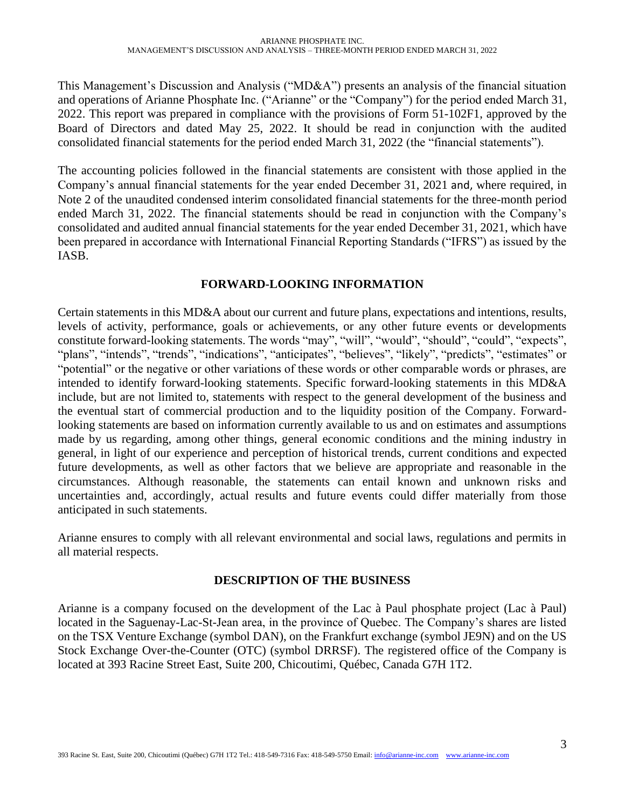This Management's Discussion and Analysis ("MD&A") presents an analysis of the financial situation and operations of Arianne Phosphate Inc. ("Arianne" or the "Company") for the period ended March 31, 2022. This report was prepared in compliance with the provisions of Form 51-102F1, approved by the Board of Directors and dated May 25, 2022. It should be read in conjunction with the audited consolidated financial statements for the period ended March 31, 2022 (the "financial statements").

The accounting policies followed in the financial statements are consistent with those applied in the Company's annual financial statements for the year ended December 31, 2021 and, where required, in Note 2 of the unaudited condensed interim consolidated financial statements for the three-month period ended March 31, 2022. The financial statements should be read in conjunction with the Company's consolidated and audited annual financial statements for the year ended December 31, 2021, which have been prepared in accordance with International Financial Reporting Standards ("IFRS") as issued by the IASB.

## **FORWARD-LOOKING INFORMATION**

<span id="page-2-0"></span>Certain statements in this MD&A about our current and future plans, expectations and intentions, results, levels of activity, performance, goals or achievements, or any other future events or developments constitute forward-looking statements. The words "may", "will", "would", "should", "could", "expects", "plans", "intends", "trends", "indications", "anticipates", "believes", "likely", "predicts", "estimates" or "potential" or the negative or other variations of these words or other comparable words or phrases, are intended to identify forward-looking statements. Specific forward-looking statements in this MD&A include, but are not limited to, statements with respect to the general development of the business and the eventual start of commercial production and to the liquidity position of the Company. Forwardlooking statements are based on information currently available to us and on estimates and assumptions made by us regarding, among other things, general economic conditions and the mining industry in general, in light of our experience and perception of historical trends, current conditions and expected future developments, as well as other factors that we believe are appropriate and reasonable in the circumstances. Although reasonable, the statements can entail known and unknown risks and uncertainties and, accordingly, actual results and future events could differ materially from those anticipated in such statements.

Arianne ensures to comply with all relevant environmental and social laws, regulations and permits in all material respects.

## **DESCRIPTION OF THE BUSINESS**

<span id="page-2-1"></span>Arianne is a company focused on the development of the Lac à Paul phosphate project (Lac à Paul) located in the Saguenay-Lac-St-Jean area, in the province of Quebec. The Company's shares are listed on the TSX Venture Exchange (symbol DAN), on the Frankfurt exchange (symbol JE9N) and on the US Stock Exchange Over-the-Counter (OTC) (symbol DRRSF). The registered office of the Company is located at 393 Racine Street East, Suite 200, Chicoutimi, Québec, Canada G7H 1T2.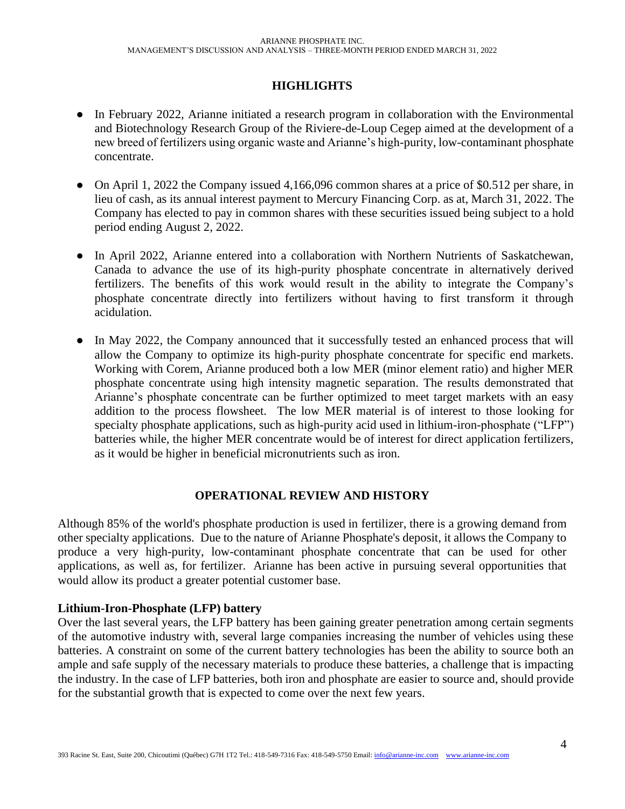# **HIGHLIGHTS**

- <span id="page-3-0"></span>• In February 2022, Arianne initiated a research program in collaboration with the Environmental and Biotechnology Research Group of the Riviere-de-Loup Cegep aimed at the development of a new breed of fertilizers using organic waste and Arianne's high-purity, low-contaminant phosphate concentrate.
- On April 1, 2022 the Company issued 4,166,096 common shares at a price of \$0.512 per share, in lieu of cash, as its annual interest payment to Mercury Financing Corp. as at, March 31, 2022. The Company has elected to pay in common shares with these securities issued being subject to a hold period ending August 2, 2022.
- In April 2022, Arianne entered into a collaboration with Northern Nutrients of Saskatchewan, Canada to advance the use of its high-purity phosphate concentrate in alternatively derived fertilizers. The benefits of this work would result in the ability to integrate the Company's phosphate concentrate directly into fertilizers without having to first transform it through acidulation.
- In May 2022, the Company announced that it successfully tested an enhanced process that will allow the Company to optimize its high-purity phosphate concentrate for specific end markets. Working with Corem, Arianne produced both a low MER (minor element ratio) and higher MER phosphate concentrate using high intensity magnetic separation. The results demonstrated that Arianne's phosphate concentrate can be further optimized to meet target markets with an easy addition to the process flowsheet. The low MER material is of interest to those looking for specialty phosphate applications, such as high-purity acid used in lithium-iron-phosphate ("LFP") batteries while, the higher MER concentrate would be of interest for direct application fertilizers, as it would be higher in beneficial micronutrients such as iron.

## **OPERATIONAL REVIEW AND HISTORY**

<span id="page-3-1"></span>Although 85% of the world's phosphate production is used in fertilizer, there is a growing demand from other specialty applications. Due to the nature of Arianne Phosphate's deposit, it allows the Company to produce a very high-purity, low-contaminant phosphate concentrate that can be used for other applications, as well as, for fertilizer. Arianne has been active in pursuing several opportunities that would allow its product a greater potential customer base.

## **Lithium-Iron-Phosphate (LFP) battery**

Over the last several years, the LFP battery has been gaining greater penetration among certain segments of the automotive industry with, several large companies increasing the number of vehicles using these batteries. A constraint on some of the current battery technologies has been the ability to source both an ample and safe supply of the necessary materials to produce these batteries, a challenge that is impacting the industry. In the case of LFP batteries, both iron and phosphate are easier to source and, should provide for the substantial growth that is expected to come over the next few years.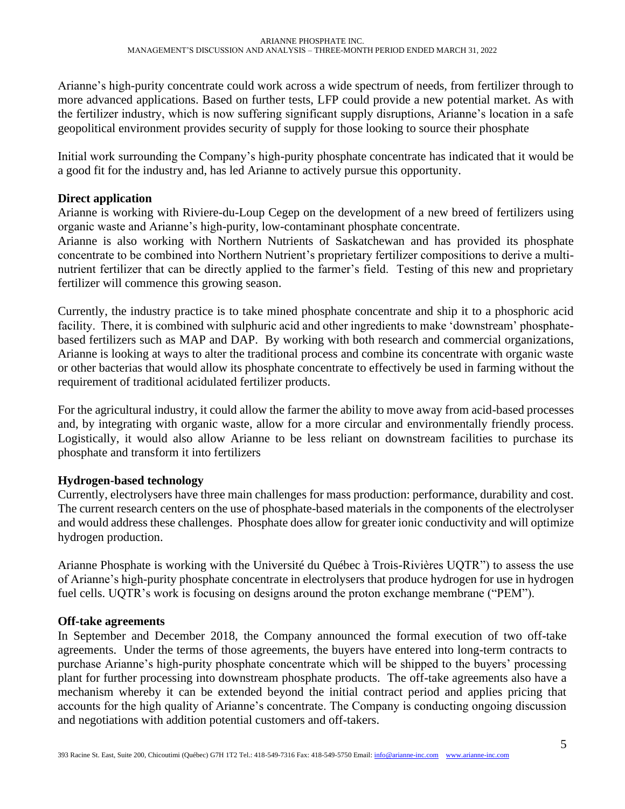Arianne's high-purity concentrate could work across a wide spectrum of needs, from fertilizer through to more advanced applications. Based on further tests, LFP could provide a new potential market. As with the fertilizer industry, which is now suffering significant supply disruptions, Arianne's location in a safe geopolitical environment provides security of supply for those looking to source their phosphate

Initial work surrounding the Company's high-purity phosphate concentrate has indicated that it would be a good fit for the industry and, has led Arianne to actively pursue this opportunity.

## **Direct application**

Arianne is working with Riviere-du-Loup Cegep on the development of a new breed of fertilizers using organic waste and Arianne's high-purity, low-contaminant phosphate concentrate.

Arianne is also working with Northern Nutrients of Saskatchewan and has provided its phosphate concentrate to be combined into Northern Nutrient's proprietary fertilizer compositions to derive a multinutrient fertilizer that can be directly applied to the farmer's field. Testing of this new and proprietary fertilizer will commence this growing season.

Currently, the industry practice is to take mined phosphate concentrate and ship it to a phosphoric acid facility. There, it is combined with sulphuric acid and other ingredients to make 'downstream' phosphatebased fertilizers such as MAP and DAP. By working with both research and commercial organizations, Arianne is looking at ways to alter the traditional process and combine its concentrate with organic waste or other bacterias that would allow its phosphate concentrate to effectively be used in farming without the requirement of traditional acidulated fertilizer products.

For the agricultural industry, it could allow the farmer the ability to move away from acid-based processes and, by integrating with organic waste, allow for a more circular and environmentally friendly process. Logistically, it would also allow Arianne to be less reliant on downstream facilities to purchase its phosphate and transform it into fertilizers

## **Hydrogen-based technology**

Currently, electrolysers have three main challenges for mass production: performance, durability and cost. The current research centers on the use of phosphate-based materials in the components of the electrolyser and would address these challenges. Phosphate does allow for greater ionic conductivity and will optimize hydrogen production.

Arianne Phosphate is working with the Université du Québec à Trois-Rivières UQTR") to assess the use of Arianne's high-purity phosphate concentrate in electrolysers that produce hydrogen for use in hydrogen fuel cells. UQTR's work is focusing on designs around the proton exchange membrane ("PEM").

## **Off-take agreements**

In September and December 2018, the Company announced the formal execution of two off-take agreements. Under the terms of those agreements, the buyers have entered into long-term contracts to purchase Arianne's high-purity phosphate concentrate which will be shipped to the buyers' processing plant for further processing into downstream phosphate products. The off-take agreements also have a mechanism whereby it can be extended beyond the initial contract period and applies pricing that accounts for the high quality of Arianne's concentrate. The Company is conducting ongoing discussion and negotiations with addition potential customers and off-takers.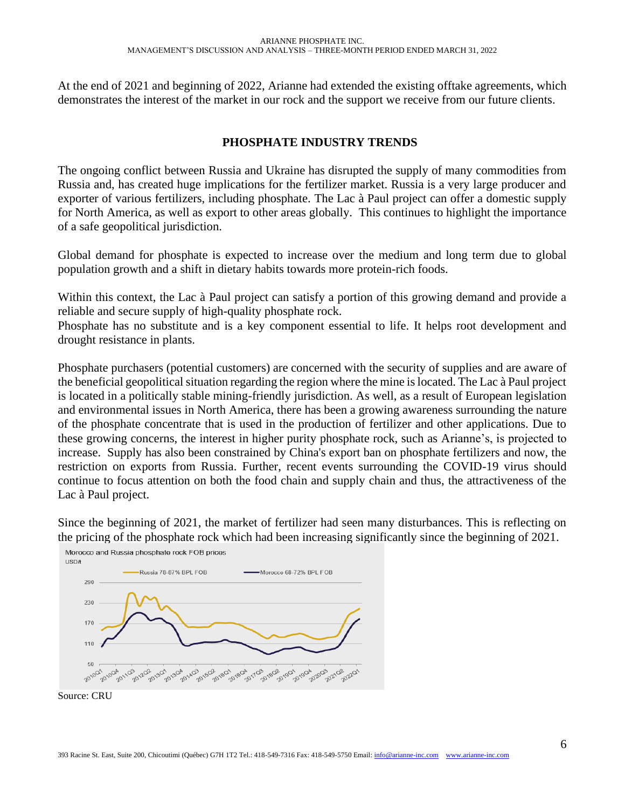At the end of 2021 and beginning of 2022, Arianne had extended the existing offtake agreements, which demonstrates the interest of the market in our rock and the support we receive from our future clients.

## <span id="page-5-0"></span> **PHOSPHATE INDUSTRY TRENDS**

The ongoing conflict between Russia and Ukraine has disrupted the supply of many commodities from Russia and, has created huge implications for the fertilizer market. Russia is a very large producer and exporter of various fertilizers, including phosphate. The Lac à Paul project can offer a domestic supply for North America, as well as export to other areas globally. This continues to highlight the importance of a safe geopolitical jurisdiction.

Global demand for phosphate is expected to increase over the medium and long term due to global population growth and a shift in dietary habits towards more protein-rich foods.

Within this context, the Lac à Paul project can satisfy a portion of this growing demand and provide a reliable and secure supply of high-quality phosphate rock.

Phosphate has no substitute and is a key component essential to life. It helps root development and drought resistance in plants.

Phosphate purchasers (potential customers) are concerned with the security of supplies and are aware of the beneficial geopolitical situation regarding the region where the mine is located. The Lac à Paul project is located in a politically stable mining-friendly jurisdiction. As well, as a result of European legislation and environmental issues in North America, there has been a growing awareness surrounding the nature of the phosphate concentrate that is used in the production of fertilizer and other applications. Due to these growing concerns, the interest in higher purity phosphate rock, such as Arianne's, is projected to increase. Supply has also been constrained by China's export ban on phosphate fertilizers and now, the restriction on exports from Russia. Further, recent events surrounding the COVID-19 virus should continue to focus attention on both the food chain and supply chain and thus, the attractiveness of the Lac à Paul project.

Since the beginning of 2021, the market of fertilizer had seen many disturbances. This is reflecting on the pricing of the phosphate rock which had been increasing significantly since the beginning of 2021.



Morocco and Russia phosphate rock FOB prices

Source: CRU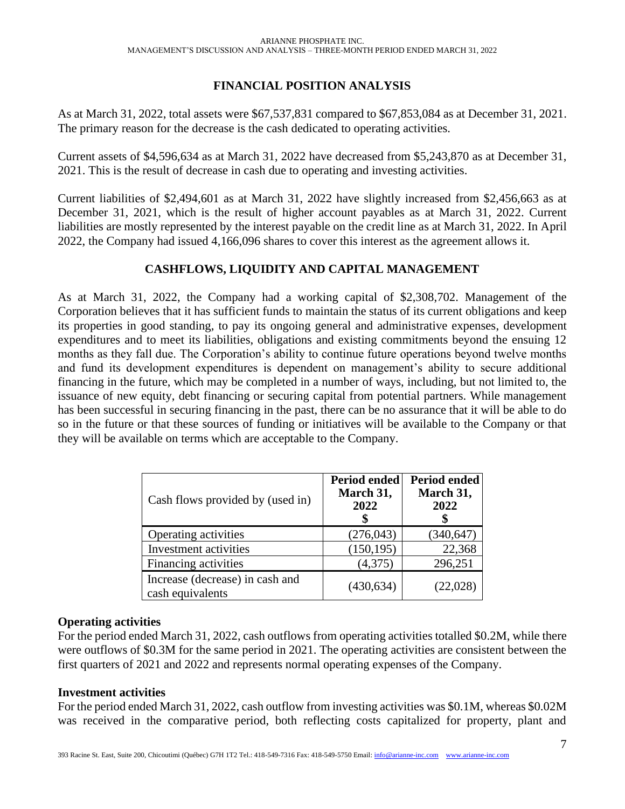# **FINANCIAL POSITION ANALYSIS**

<span id="page-6-0"></span>As at March 31, 2022, total assets were \$67,537,831 compared to \$67,853,084 as at December 31, 2021. The primary reason for the decrease is the cash dedicated to operating activities.

Current assets of \$4,596,634 as at March 31, 2022 have decreased from \$5,243,870 as at December 31, 2021. This is the result of decrease in cash due to operating and investing activities.

Current liabilities of \$2,494,601 as at March 31, 2022 have slightly increased from \$2,456,663 as at December 31, 2021, which is the result of higher account payables as at March 31, 2022. Current liabilities are mostly represented by the interest payable on the credit line as at March 31, 2022. In April 2022, the Company had issued 4,166,096 shares to cover this interest as the agreement allows it.

## **CASHFLOWS, LIQUIDITY AND CAPITAL MANAGEMENT**

<span id="page-6-1"></span>As at March 31, 2022, the Company had a working capital of \$2,308,702. Management of the Corporation believes that it has sufficient funds to maintain the status of its current obligations and keep its properties in good standing, to pay its ongoing general and administrative expenses, development expenditures and to meet its liabilities, obligations and existing commitments beyond the ensuing 12 months as they fall due. The Corporation's ability to continue future operations beyond twelve months and fund its development expenditures is dependent on management's ability to secure additional financing in the future, which may be completed in a number of ways, including, but not limited to, the issuance of new equity, debt financing or securing capital from potential partners. While management has been successful in securing financing in the past, there can be no assurance that it will be able to do so in the future or that these sources of funding or initiatives will be available to the Company or that they will be available on terms which are acceptable to the Company.

| Cash flows provided by (used in)                    | <b>Period ended</b><br>March 31,<br>2022 | <b>Period ended</b><br>March 31,<br>2022 |
|-----------------------------------------------------|------------------------------------------|------------------------------------------|
| Operating activities                                | (276, 043)                               | (340, 647)                               |
| Investment activities                               | (150, 195)                               | 22,368                                   |
| Financing activities                                | (4,375)                                  | 296,251                                  |
| Increase (decrease) in cash and<br>cash equivalents | (430, 634)                               | (22, 028)                                |

## **Operating activities**

For the period ended March 31, 2022, cash outflows from operating activities totalled \$0.2M, while there were outflows of \$0.3M for the same period in 2021. The operating activities are consistent between the first quarters of 2021 and 2022 and represents normal operating expenses of the Company.

## **Investment activities**

For the period ended March 31, 2022, cash outflow from investing activities was \$0.1M, whereas \$0.02M was received in the comparative period, both reflecting costs capitalized for property, plant and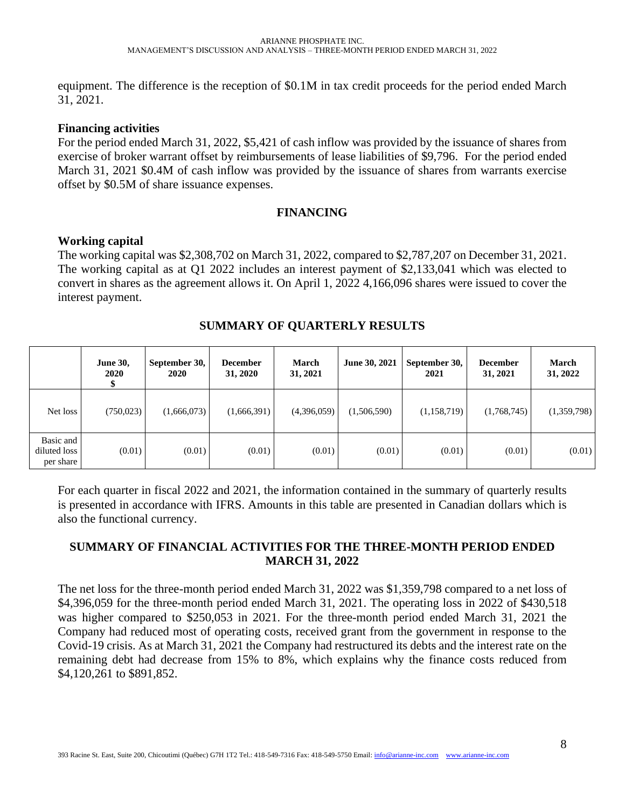equipment. The difference is the reception of \$0.1M in tax credit proceeds for the period ended March 31, 2021.

#### **Financing activities**

For the period ended March 31, 2022, \$5,421 of cash inflow was provided by the issuance of shares from exercise of broker warrant offset by reimbursements of lease liabilities of \$9,796. For the period ended March 31, 2021 \$0.4M of cash inflow was provided by the issuance of shares from warrants exercise offset by \$0.5M of share issuance expenses.

## **FINANCING**

## <span id="page-7-0"></span>**Working capital**

The working capital was \$2,308,702 on March 31, 2022, compared to \$2,787,207 on December 31, 2021. The working capital as at Q1 2022 includes an interest payment of \$2,133,041 which was elected to convert in shares as the agreement allows it. On April 1, 2022 4,166,096 shares were issued to cover the interest payment.

<span id="page-7-1"></span>

|                                        | <b>June 30,</b><br><b>2020</b> | September 30,<br>2020 | <b>December</b><br>31, 2020 | <b>March</b><br>31, 2021 | June 30, 2021 | September 30,<br>2021 | <b>December</b><br>31, 2021 | <b>March</b><br>31, 2022 |
|----------------------------------------|--------------------------------|-----------------------|-----------------------------|--------------------------|---------------|-----------------------|-----------------------------|--------------------------|
| Net loss                               | (750,023)                      | (1,666,073)           | (1,666,391)                 | (4,396,059)              | (1,506,590)   | (1,158,719)           | (1,768,745)                 | (1,359,798)              |
| Basic and<br>diluted loss<br>per share | (0.01)                         | (0.01)                | (0.01)                      | (0.01)                   | (0.01)        | (0.01)                | (0.01)                      | (0.01)                   |

## **SUMMARY OF QUARTERLY RESULTS**

For each quarter in fiscal 2022 and 2021, the information contained in the summary of quarterly results is presented in accordance with IFRS. Amounts in this table are presented in Canadian dollars which is also the functional currency.

## <span id="page-7-2"></span>**SUMMARY OF FINANCIAL ACTIVITIES FOR THE THREE-MONTH PERIOD ENDED MARCH 31, 2022**

The net loss for the three-month period ended March 31, 2022 was \$1,359,798 compared to a net loss of \$4,396,059 for the three-month period ended March 31, 2021. The operating loss in 2022 of \$430,518 was higher compared to \$250,053 in 2021. For the three-month period ended March 31, 2021 the Company had reduced most of operating costs, received grant from the government in response to the Covid-19 crisis. As at March 31, 2021 the Company had restructured its debts and the interest rate on the remaining debt had decrease from 15% to 8%, which explains why the finance costs reduced from \$4,120,261 to \$891,852.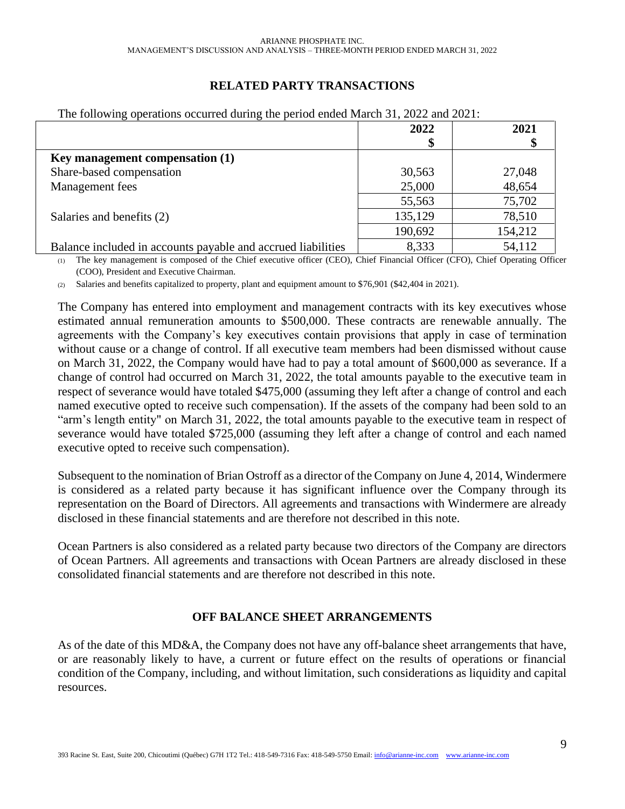# **RELATED PARTY TRANSACTIONS**

| --- ---                                                      |         |         |
|--------------------------------------------------------------|---------|---------|
|                                                              | 2022    | 2021    |
|                                                              |         |         |
| Key management compensation (1)                              |         |         |
| Share-based compensation                                     | 30,563  | 27,048  |
| Management fees                                              | 25,000  | 48,654  |
|                                                              | 55,563  | 75,702  |
| Salaries and benefits (2)                                    | 135,129 | 78,510  |
|                                                              | 190,692 | 154,212 |
| Balance included in accounts payable and accrued liabilities | 8,333   | 54,112  |

<span id="page-8-0"></span>The following operations occurred during the period ended March 31, 2022 and 2021:

(1) The key management is composed of the Chief executive officer (CEO), Chief Financial Officer (CFO), Chief Operating Officer (COO), President and Executive Chairman.

(2) Salaries and benefits capitalized to property, plant and equipment amount to \$76,901 (\$42,404 in 2021).

The Company has entered into employment and management contracts with its key executives whose estimated annual remuneration amounts to \$500,000. These contracts are renewable annually. The agreements with the Company's key executives contain provisions that apply in case of termination without cause or a change of control. If all executive team members had been dismissed without cause on March 31, 2022, the Company would have had to pay a total amount of \$600,000 as severance. If a change of control had occurred on March 31, 2022, the total amounts payable to the executive team in respect of severance would have totaled \$475,000 (assuming they left after a change of control and each named executive opted to receive such compensation). If the assets of the company had been sold to an "arm's length entity" on March 31, 2022, the total amounts payable to the executive team in respect of severance would have totaled \$725,000 (assuming they left after a change of control and each named executive opted to receive such compensation).

Subsequent to the nomination of Brian Ostroff as a director of the Company on June 4, 2014, Windermere is considered as a related party because it has significant influence over the Company through its representation on the Board of Directors. All agreements and transactions with Windermere are already disclosed in these financial statements and are therefore not described in this note.

Ocean Partners is also considered as a related party because two directors of the Company are directors of Ocean Partners. All agreements and transactions with Ocean Partners are already disclosed in these consolidated financial statements and are therefore not described in this note.

## **OFF BALANCE SHEET ARRANGEMENTS**

<span id="page-8-1"></span>As of the date of this MD&A, the Company does not have any off-balance sheet arrangements that have, or are reasonably likely to have, a current or future effect on the results of operations or financial condition of the Company, including, and without limitation, such considerations as liquidity and capital resources.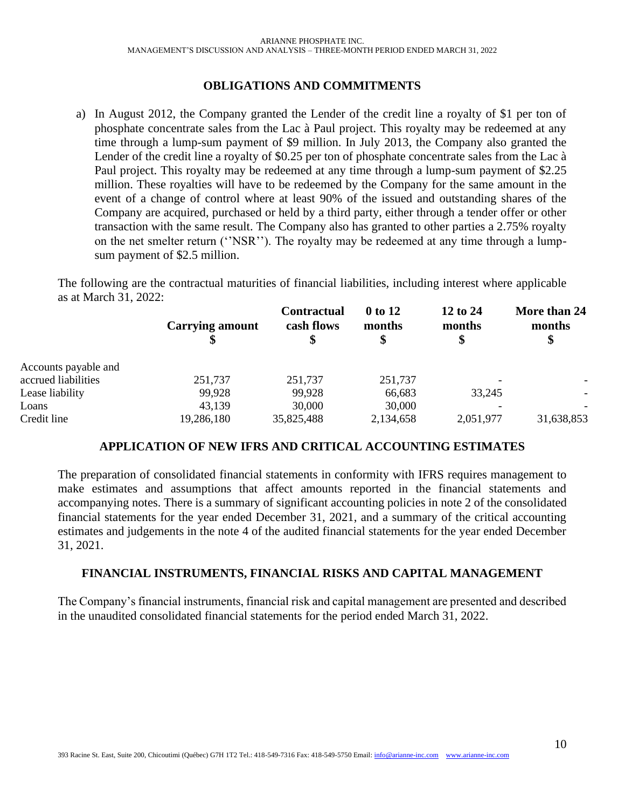## **OBLIGATIONS AND COMMITMENTS**

<span id="page-9-0"></span>a) In August 2012, the Company granted the Lender of the credit line a royalty of \$1 per ton of phosphate concentrate sales from the Lac à Paul project. This royalty may be redeemed at any time through a lump-sum payment of \$9 million. In July 2013, the Company also granted the Lender of the credit line a royalty of \$0.25 per ton of phosphate concentrate sales from the Lac à Paul project. This royalty may be redeemed at any time through a lump-sum payment of \$2.25 million. These royalties will have to be redeemed by the Company for the same amount in the event of a change of control where at least 90% of the issued and outstanding shares of the Company are acquired, purchased or held by a third party, either through a tender offer or other transaction with the same result. The Company also has granted to other parties a 2.75% royalty on the net smelter return (''NSR''). The royalty may be redeemed at any time through a lumpsum payment of \$2.5 million.

The following are the contractual maturities of financial liabilities, including interest where applicable as at March 31, 2022:

| <b>Carrying amount</b> | <b>Contractual</b><br>cash flows | 0 to 12<br>months | 12 to 24<br>months<br>\$ | More than 24<br>months<br>\$ |
|------------------------|----------------------------------|-------------------|--------------------------|------------------------------|
|                        |                                  |                   |                          |                              |
| 251,737                | 251,737                          | 251,737           |                          |                              |
| 99,928                 | 99,928                           | 66,683            | 33,245                   | $\overline{\phantom{0}}$     |
| 43,139                 | 30,000                           | 30,000            |                          |                              |
| 19,286,180             | 35,825,488                       | 2,134,658         | 2,051,977                | 31,638,853                   |
|                        |                                  |                   |                          |                              |

#### **APPLICATION OF NEW IFRS AND CRITICAL ACCOUNTING ESTIMATES**

<span id="page-9-1"></span>The preparation of consolidated financial statements in conformity with IFRS requires management to make estimates and assumptions that affect amounts reported in the financial statements and accompanying notes. There is a summary of significant accounting policies in note 2 of the consolidated financial statements for the year ended December 31, 2021, and a summary of the critical accounting estimates and judgements in the note 4 of the audited financial statements for the year ended December 31, 2021.

## <span id="page-9-2"></span>**FINANCIAL INSTRUMENTS, FINANCIAL RISKS AND CAPITAL MANAGEMENT**

The Company's financial instruments, financial risk and capital management are presented and described in the unaudited consolidated financial statements for the period ended March 31, 2022.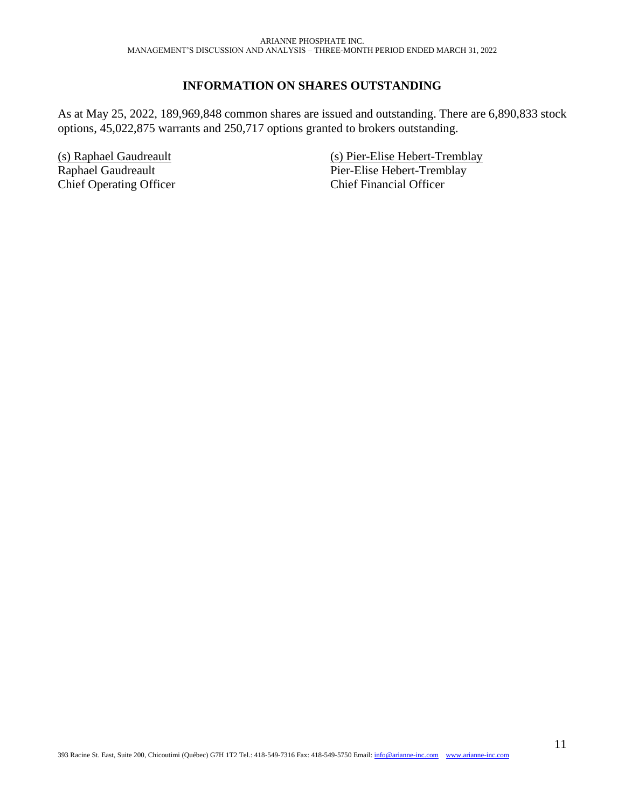## **INFORMATION ON SHARES OUTSTANDING**

<span id="page-10-0"></span>As at May 25, 2022, 189,969,848 common shares are issued and outstanding. There are 6,890,833 stock options, 45,022,875 warrants and 250,717 options granted to brokers outstanding.

(s) Raphael Gaudreault Raphael Gaudreault Chief Operating Officer (s) Pier-Elise Hebert-Tremblay Pier-Elise Hebert-Tremblay Chief Financial Officer